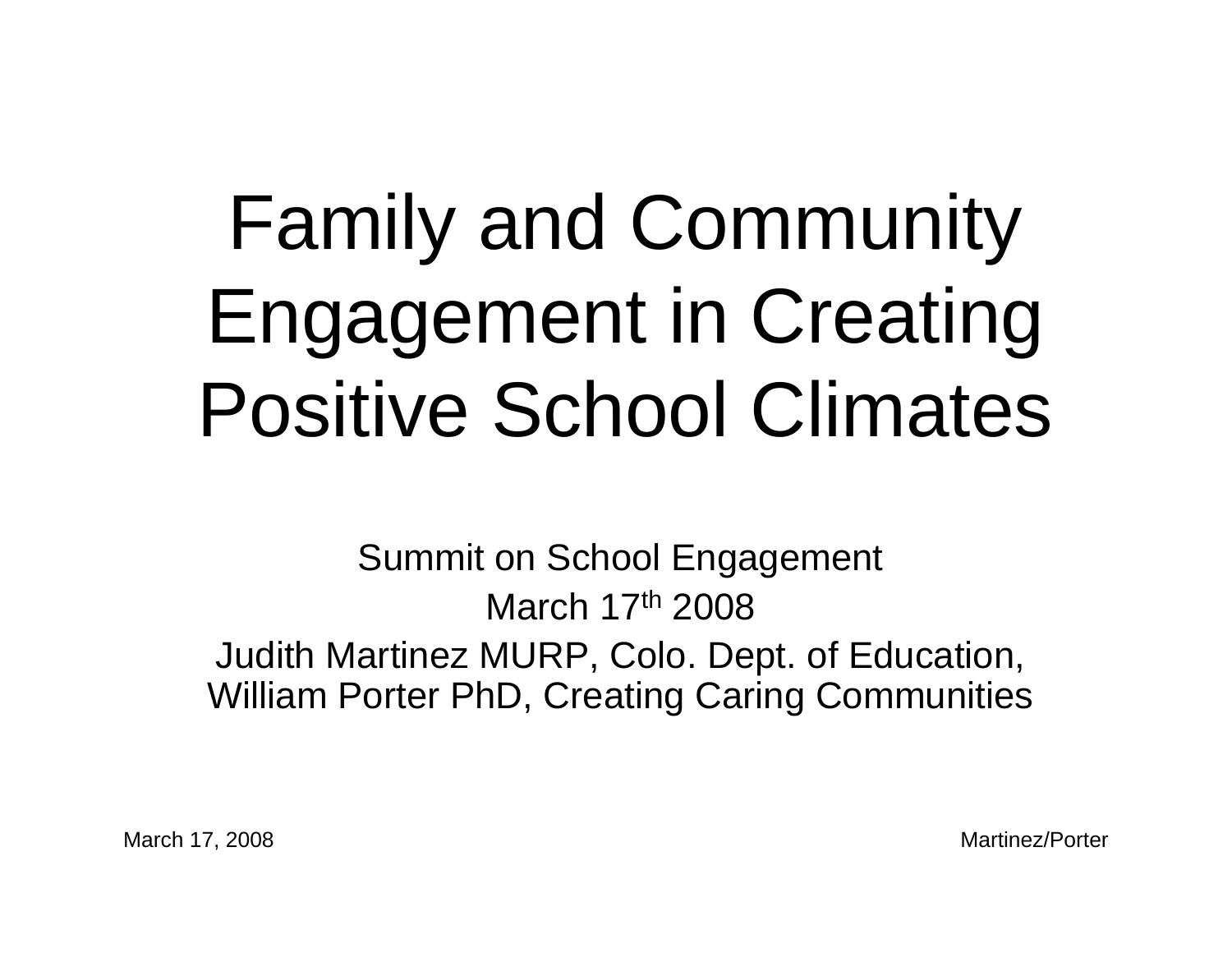## Family and Community Engagement in Creating Positive School Climates

Summit on School Engagement March 17th 2008Judith Martinez MURP, Colo. Dept. of Education, William Porter PhD, Creating Caring Communities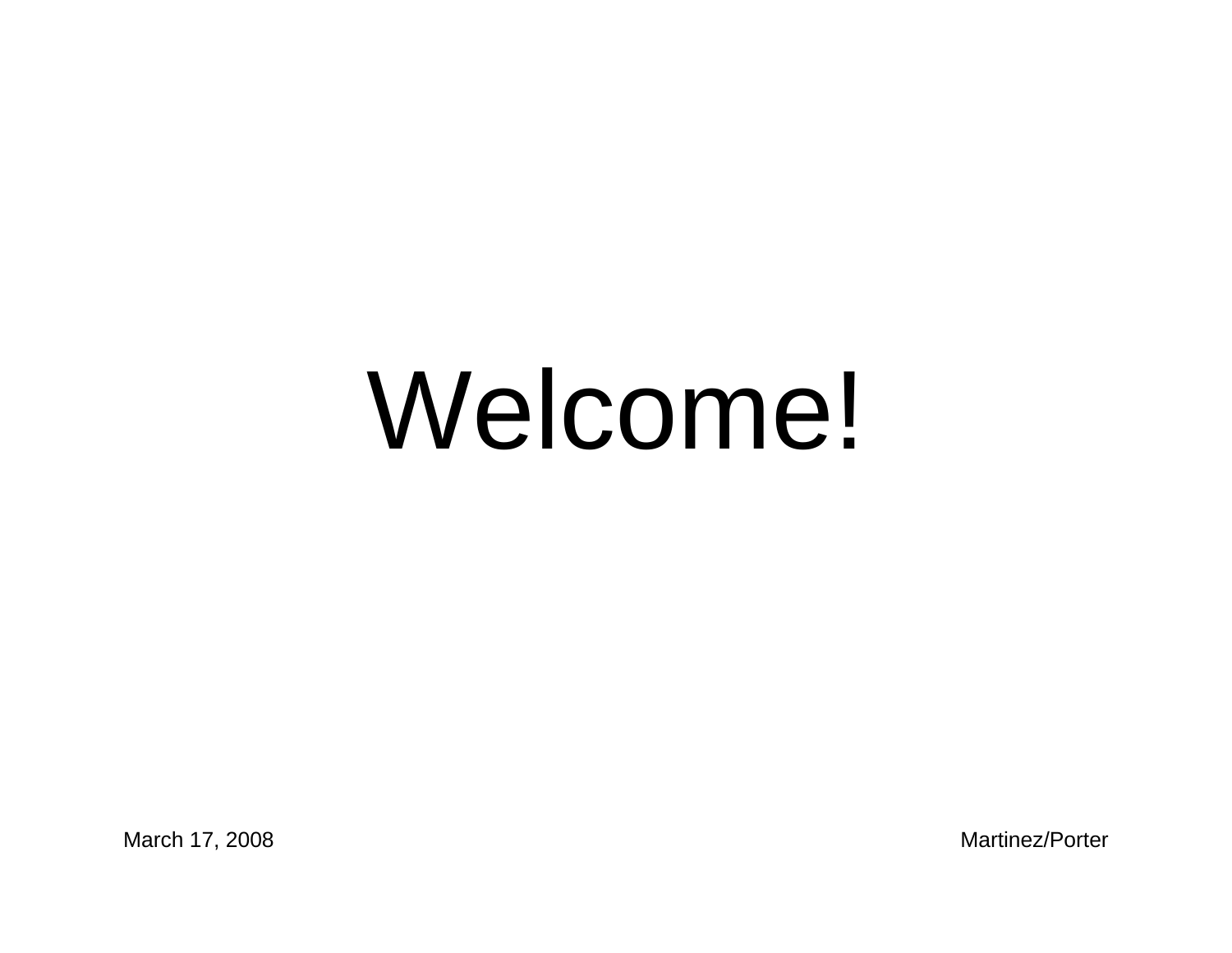# Welcome!

March 17, 2008 Martinez/Porter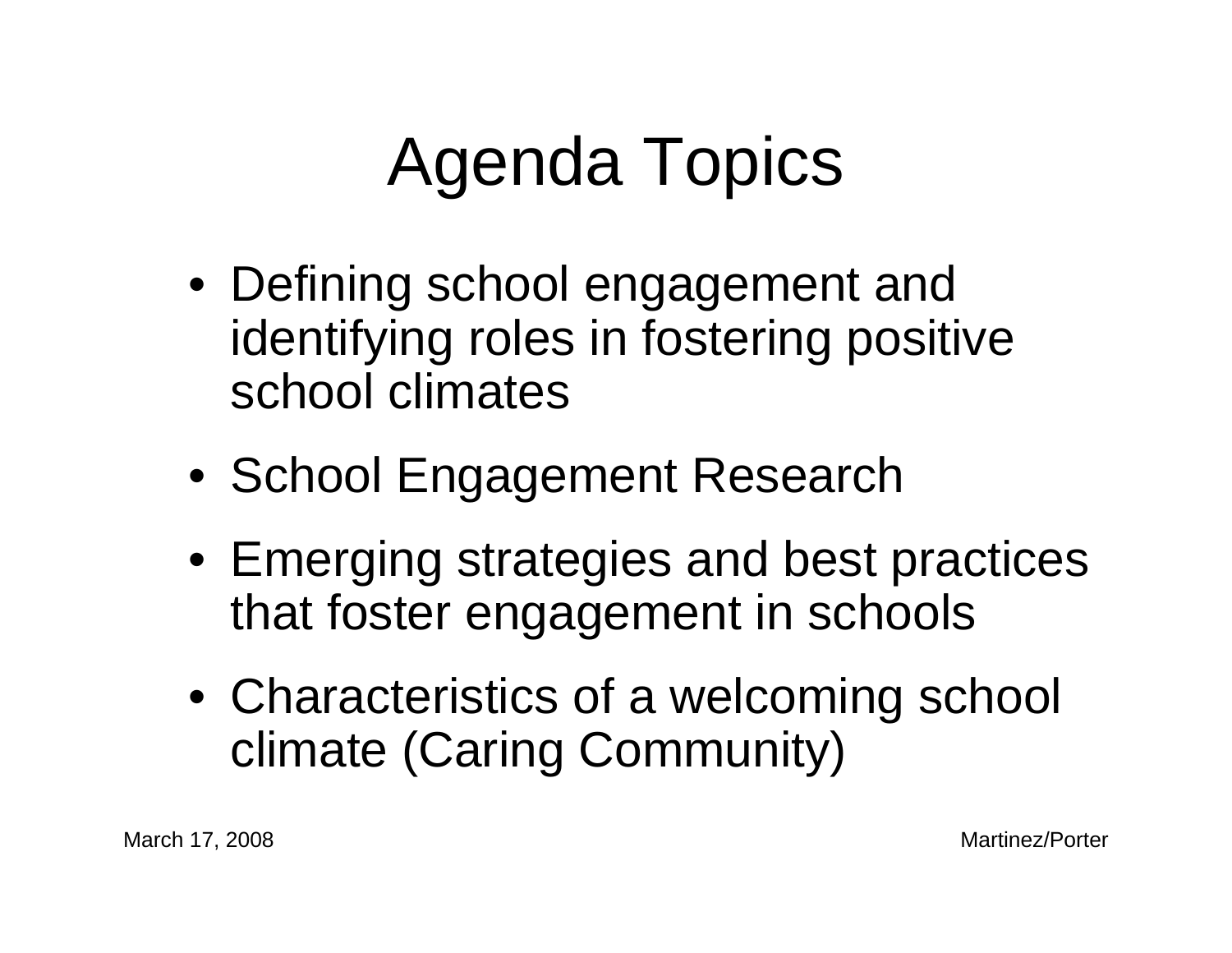## Agenda Topics

- Defining school engagement and identifying roles in fostering positive school climates
- School Engagement Research
- Emerging strategies and best practices that foster engagement in schools
- Characteristics of a welcoming school climate (Caring Community)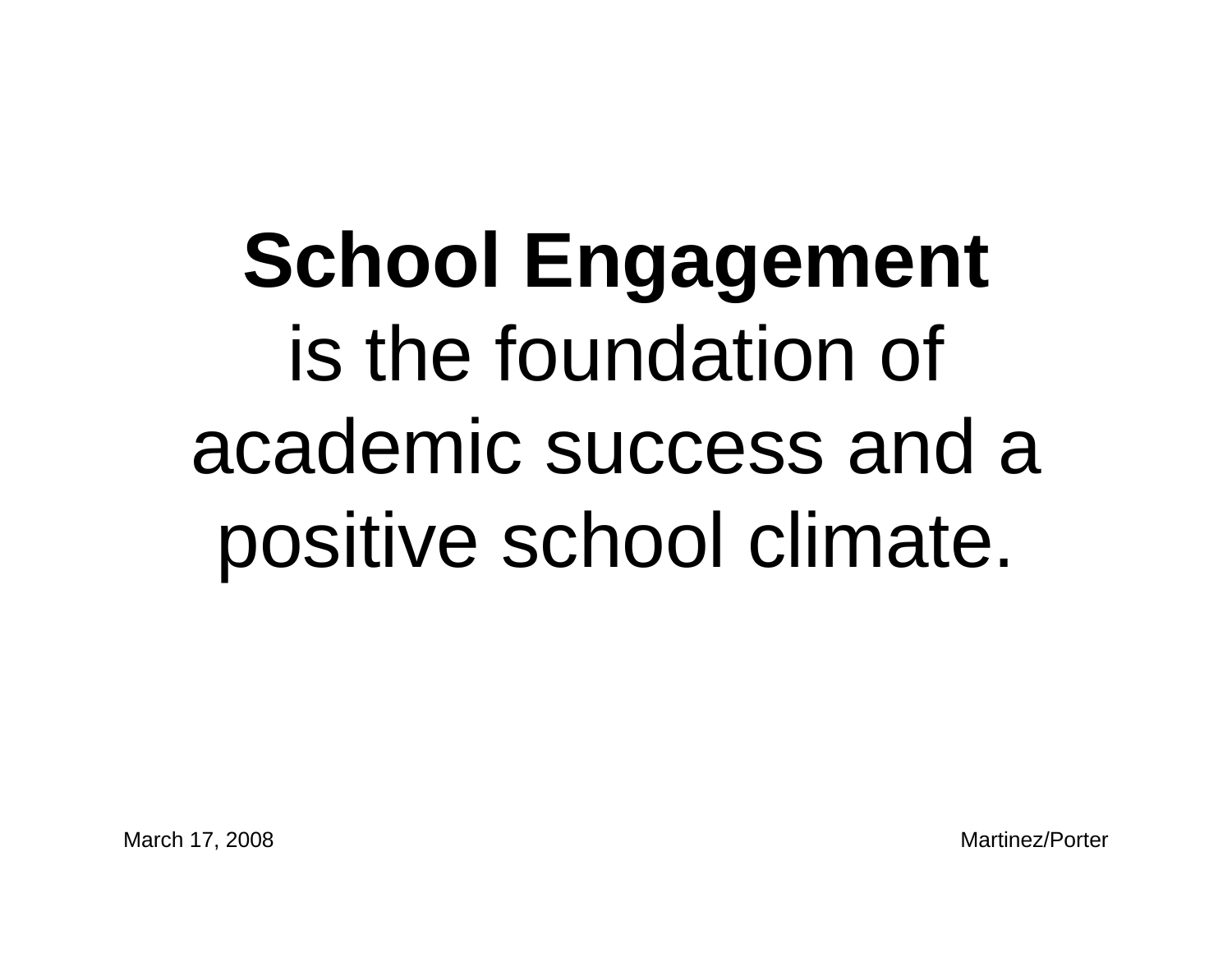## **School Engagement** is the foundation of academic success and a positive school climate.

March 17, 2008 Martinez/Porter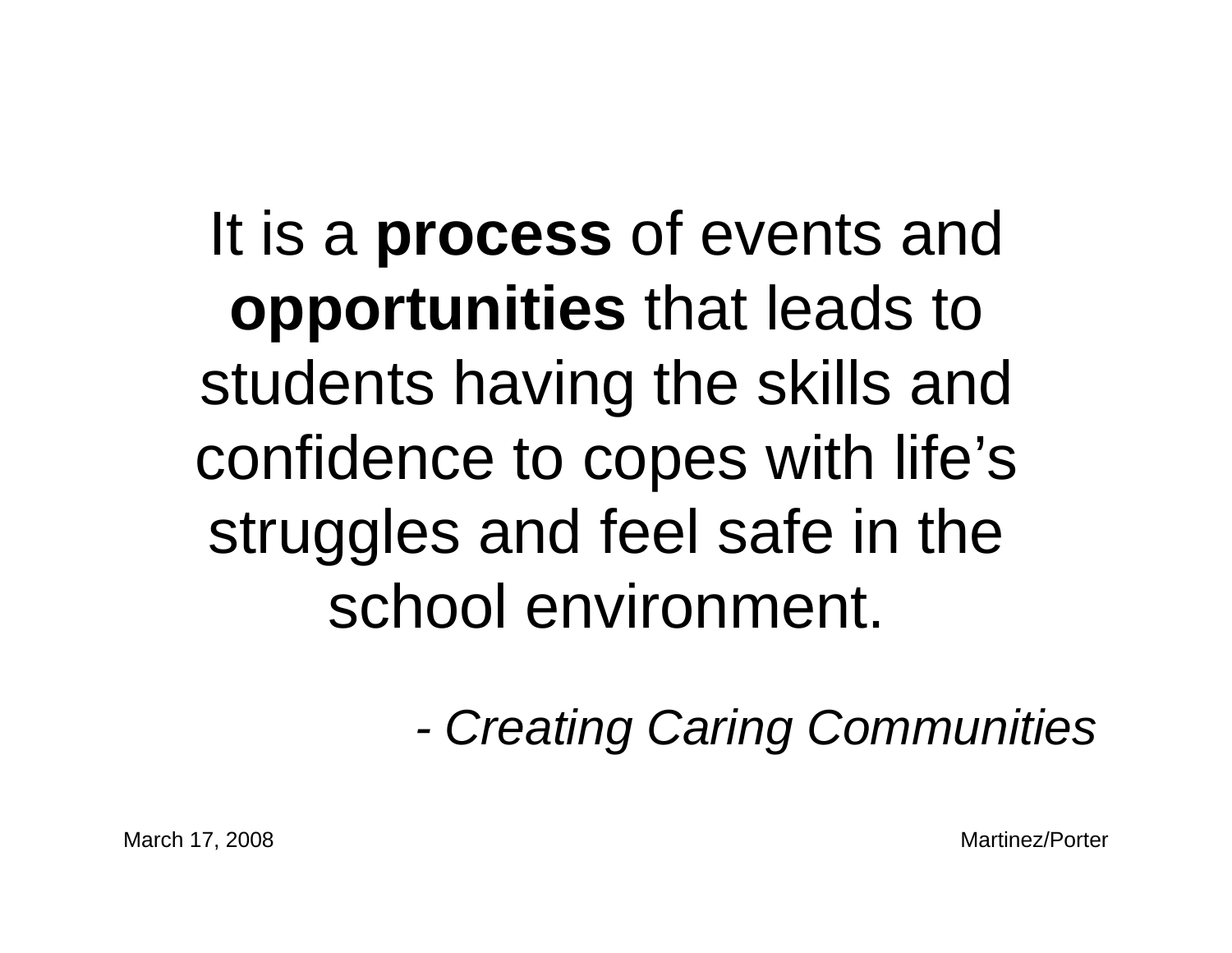### It is a **process** of events and **opportunities** that leads to students having the skills and confidence to copes with life's struggles and feel safe in the school environment.

*- Creating Caring Communities*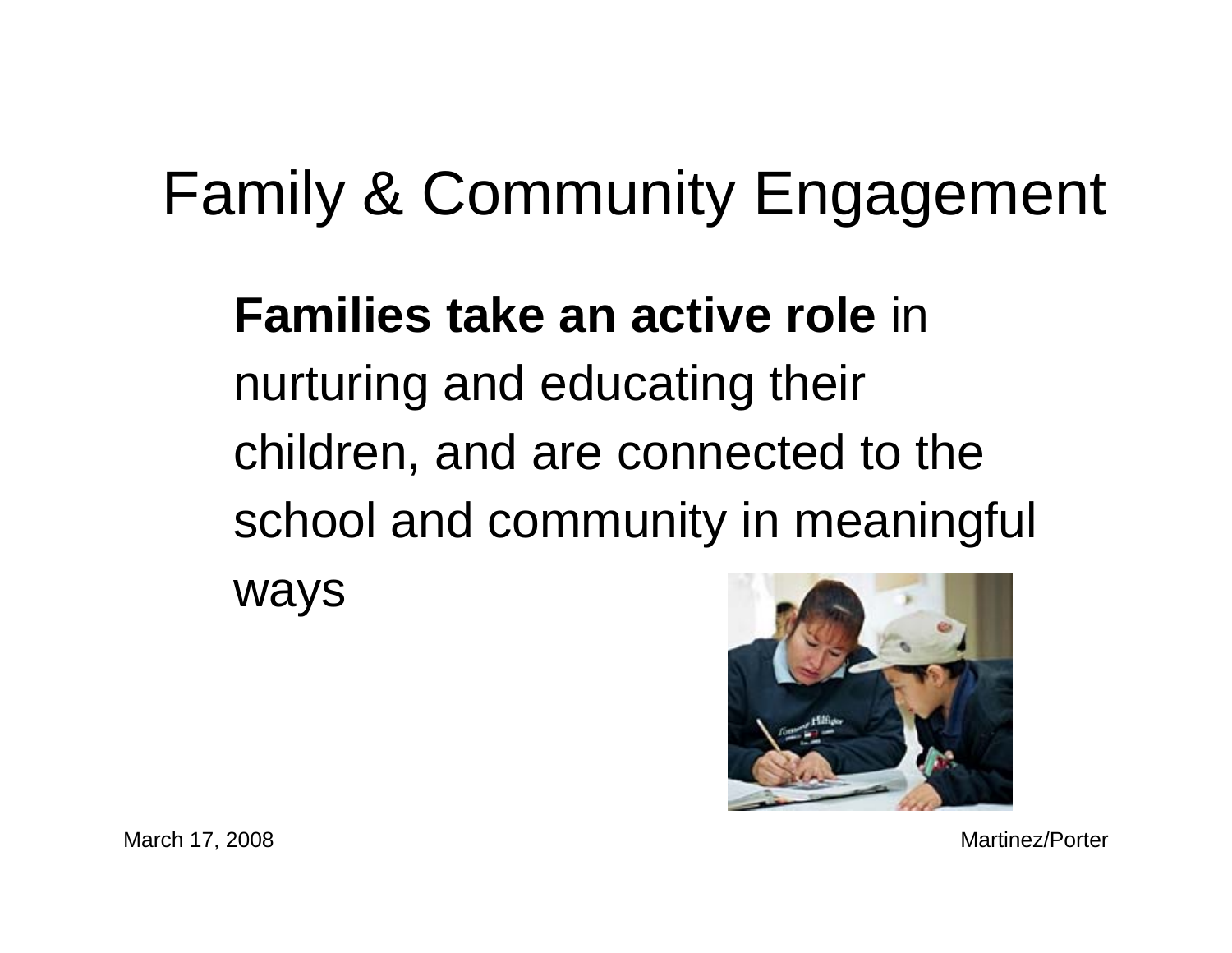#### Family & Community Engagement

#### **Families take an active role** in nurturing and educating their children, and are connected to the school and community in meaningful ways



March 17, 2008 Martinez/Porter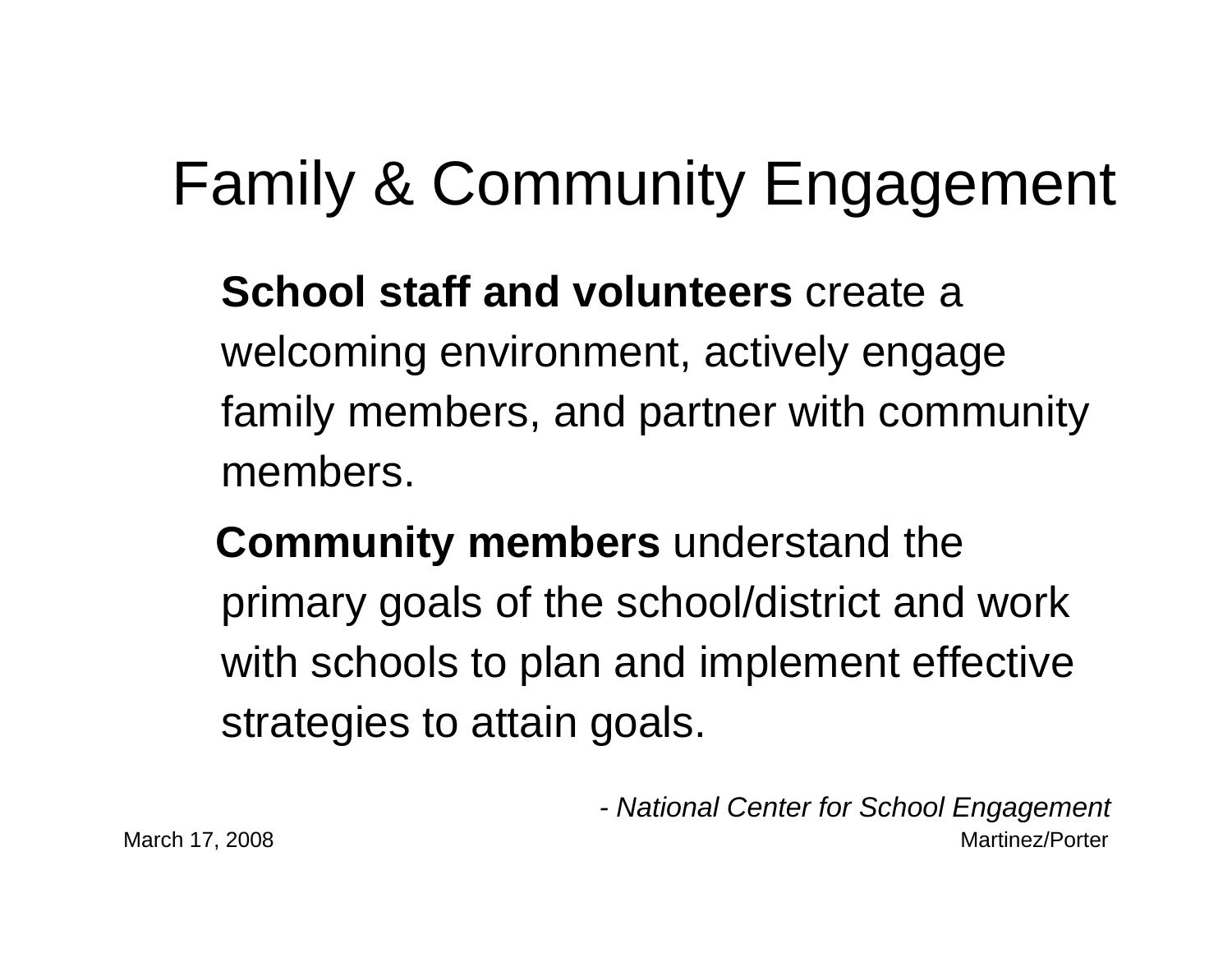### Family & Community Engagement

**School staff and volunteers** create a welcoming environment, actively engage family members, and partner with community members.

**Community members** understand the primary goals of the school/district and work with schools to plan and implement effective strategies to attain goals.

March 17, 2008 Martinez/Porter *- National Center for School Engagement*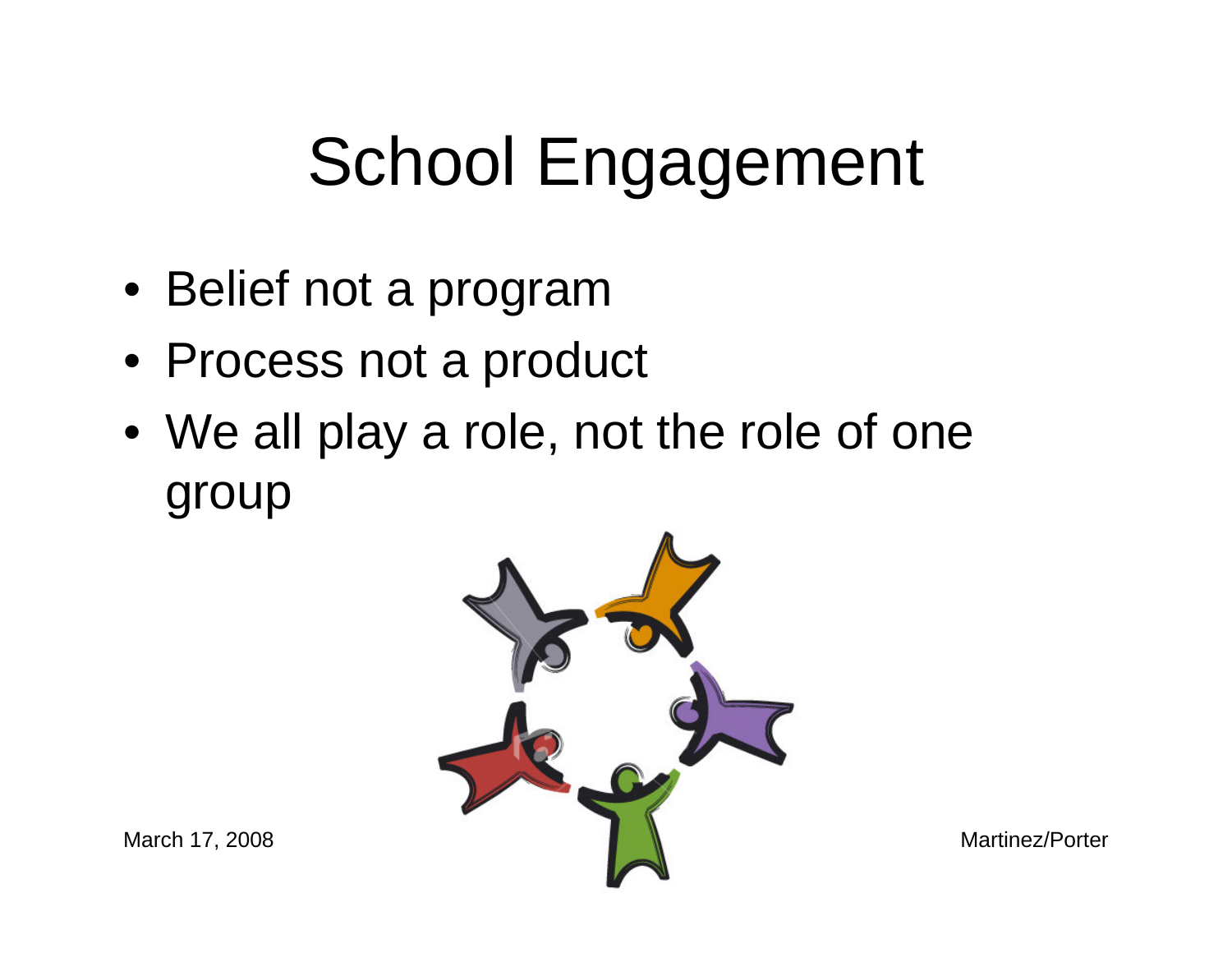## School Engagement

- Belief not a program
- Process not a product
- We all play a role, not the role of one group

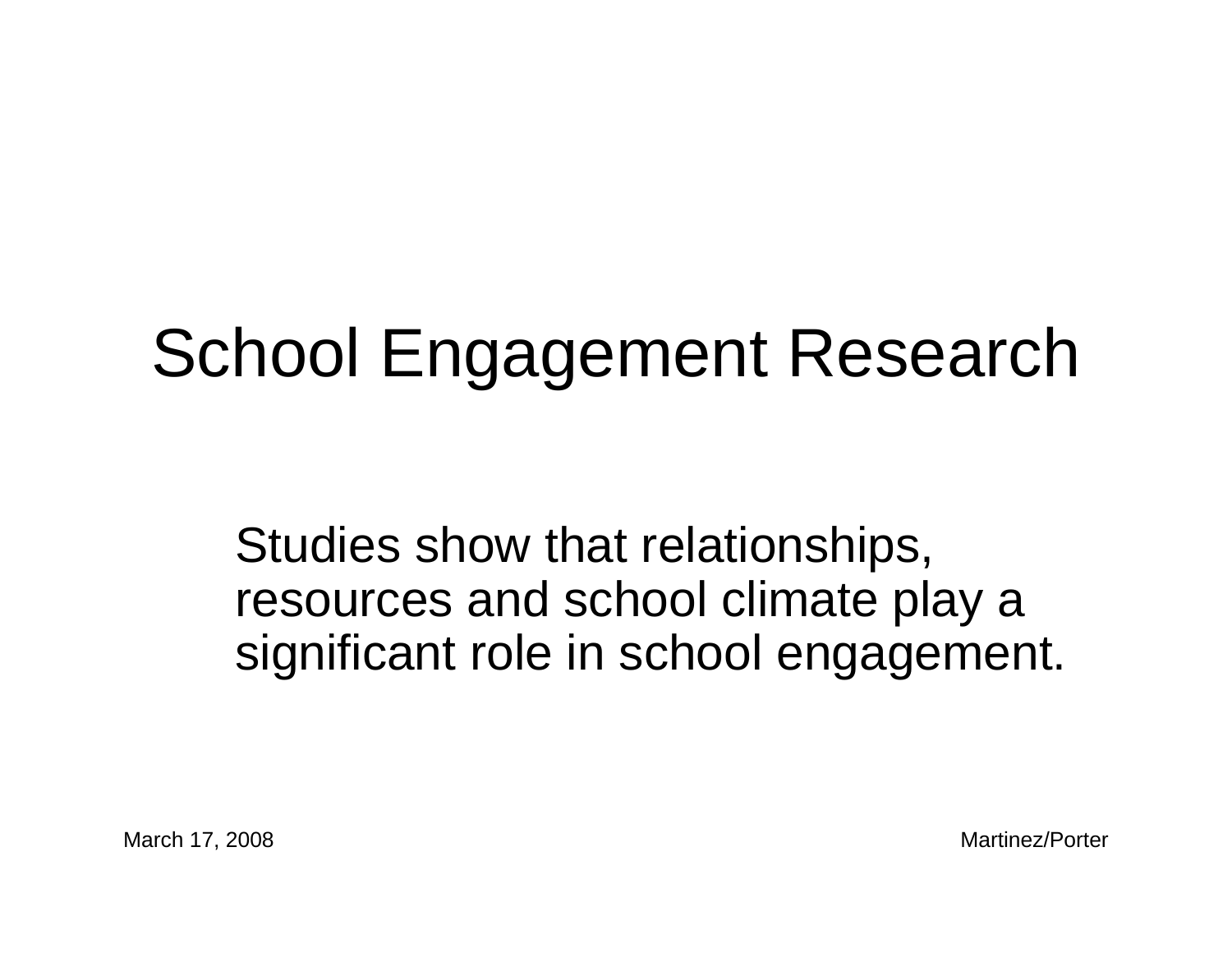## School Engagement Research

Studies show that relationships, resources and school climate play a significant role in school engagement.

March 17, 2008 Martinez/Porter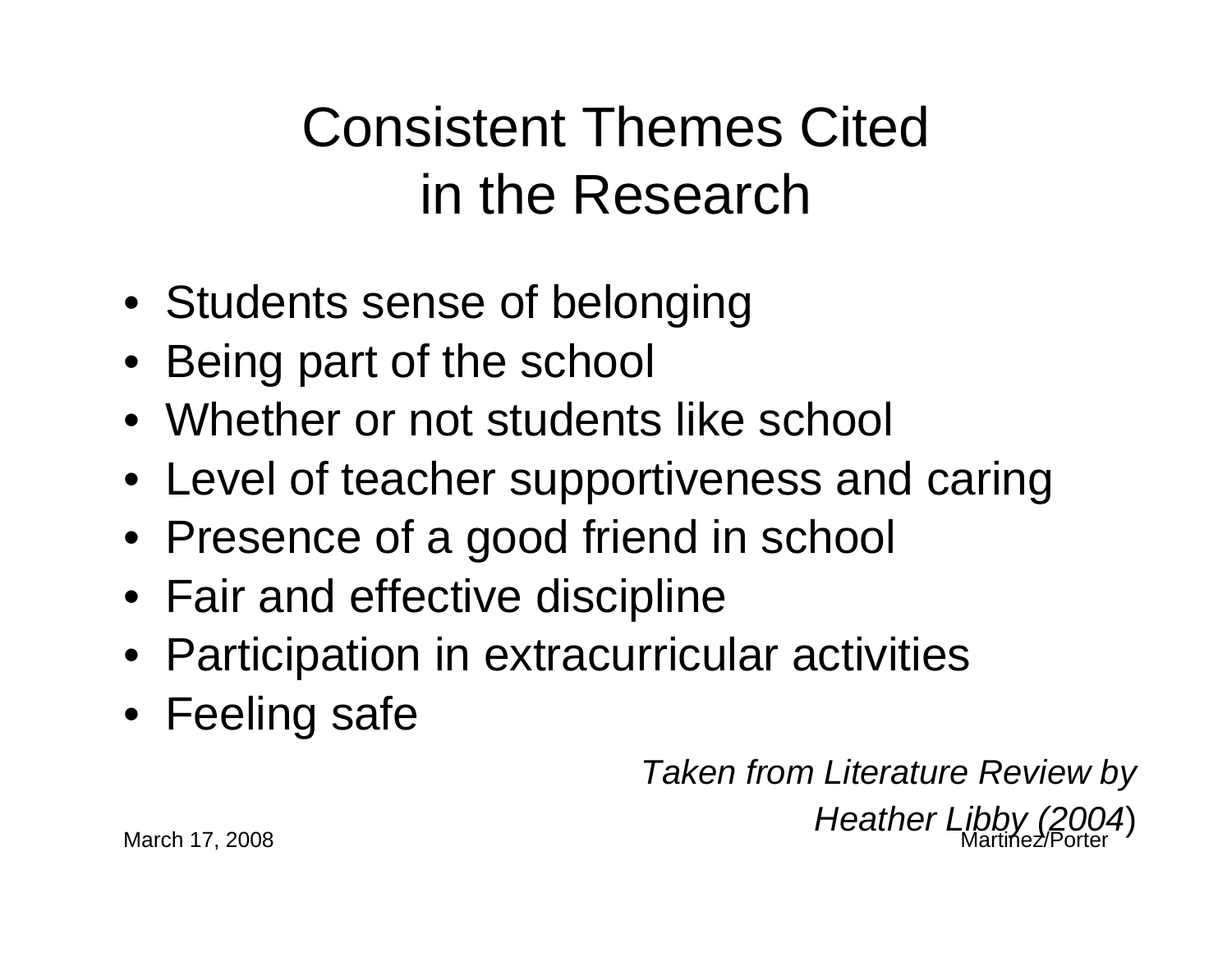#### Consistent Themes Cited in the Research

- Students sense of belonging
- Being part of the school
- Whether or not students like school
- Level of teacher supportiveness and caring
- Presence of a good friend in school
- Fair and effective discipline
- Participation in extracurricular activities
- Feeling safe

*Taken from Literature Review by* 

March 17, 2008 Martinez/Porter *Heather Libby (2004*)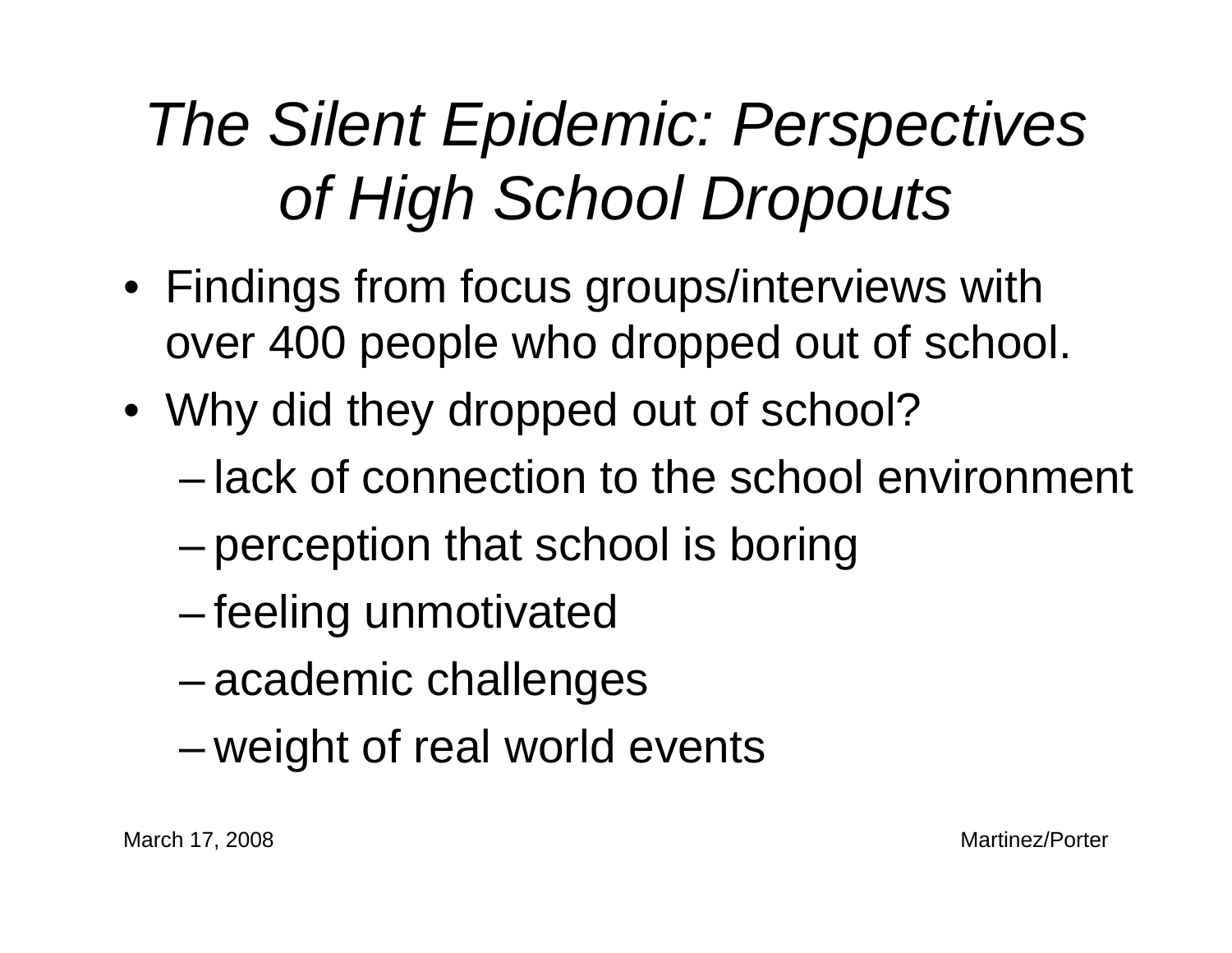## *The Silent Epidemic: Perspectives of High School Dropouts*

- Findings from focus groups/interviews with over 400 people who dropped out of school.
- Why did they dropped out of school?
	- lack of connection to the school environment
	- –perception that school is boring
	- –feeling unmotivated
	- –academic challenges
	- –weight of real world events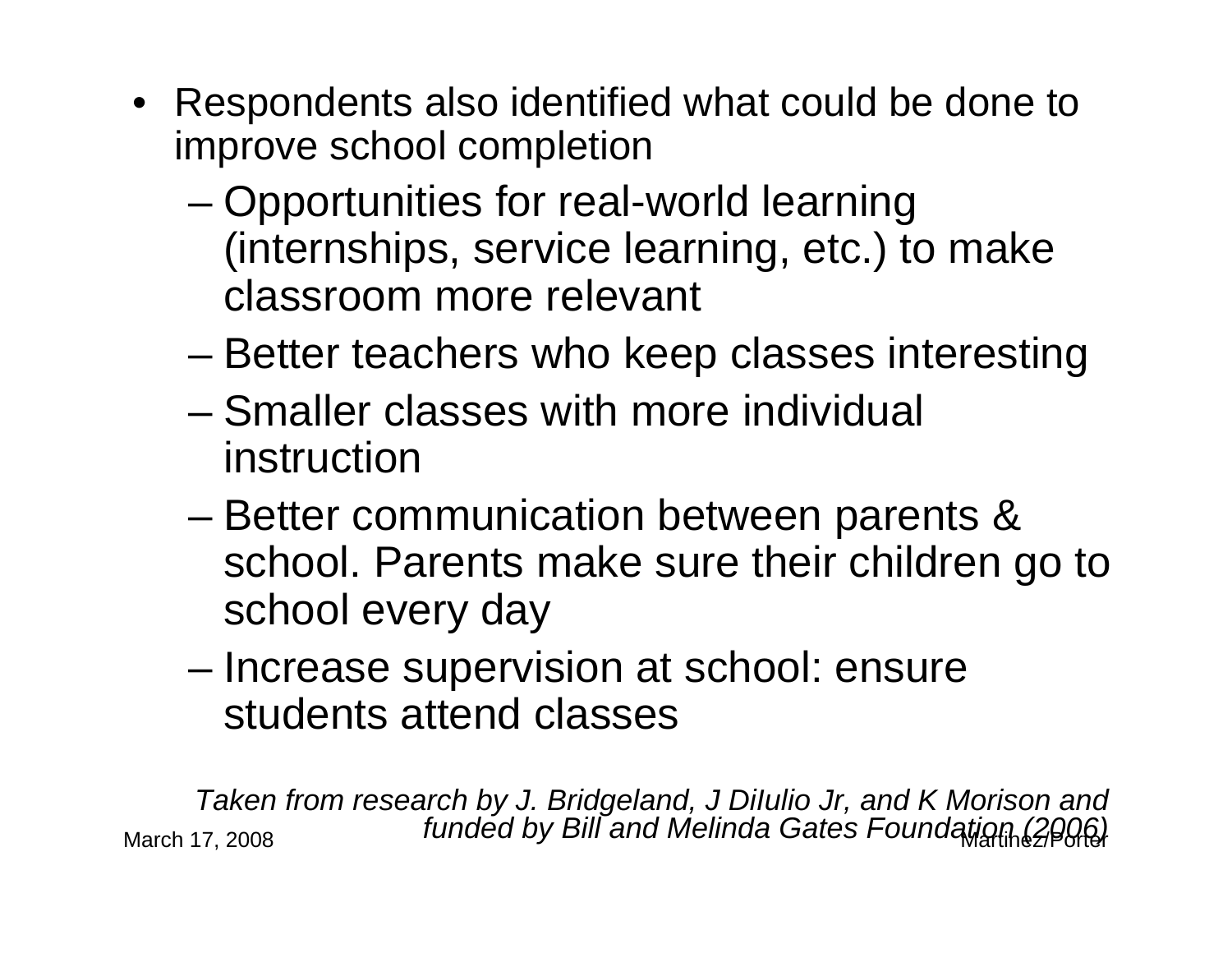- Respondents also identified what could be done to improve school completion
	- – Opportunities for real-world learning (internships, service learning, etc.) to make classroom more relevant
	- –Better teachers who keep classes interesting
	- Smaller classes with more individual instruction
	- – Better communication between parents & school. Parents make sure their children go to school every day
	- – Increase supervision at school: ensure students attend classes

March 17, 2008 Martinez/Porter *funded by Bill and Melinda Gates Foundation (2006)Taken from research by J. Bridgeland, J DiIulio Jr, and K Morison and*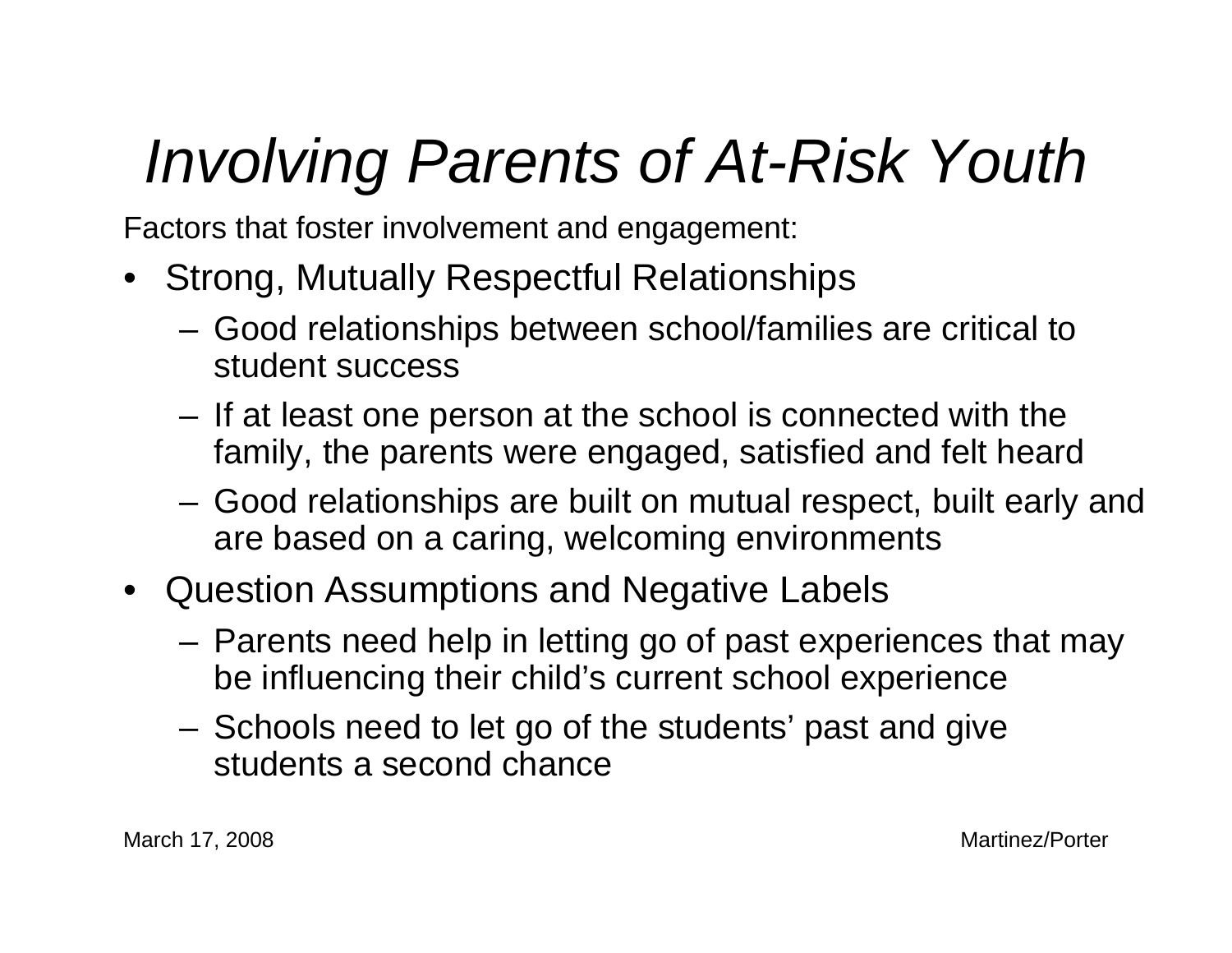## *Involving Parents of At-Risk Youth*

Factors that foster involvement and engagement:

- Strong, Mutually Respectful Relationships
	- Good relationships between school/families are critical to student success
	- – If at least one person at the school is connected with the family, the parents were engaged, satisfied and felt heard
	- Good relationships are built on mutual respect, built early and are based on a caring, welcoming environments
- Question Assumptions and Negative Labels
	- Parents need help in letting go of past experiences that may be influencing their child's current school experience
	- Schools need to let go of the students' past and give students a second chance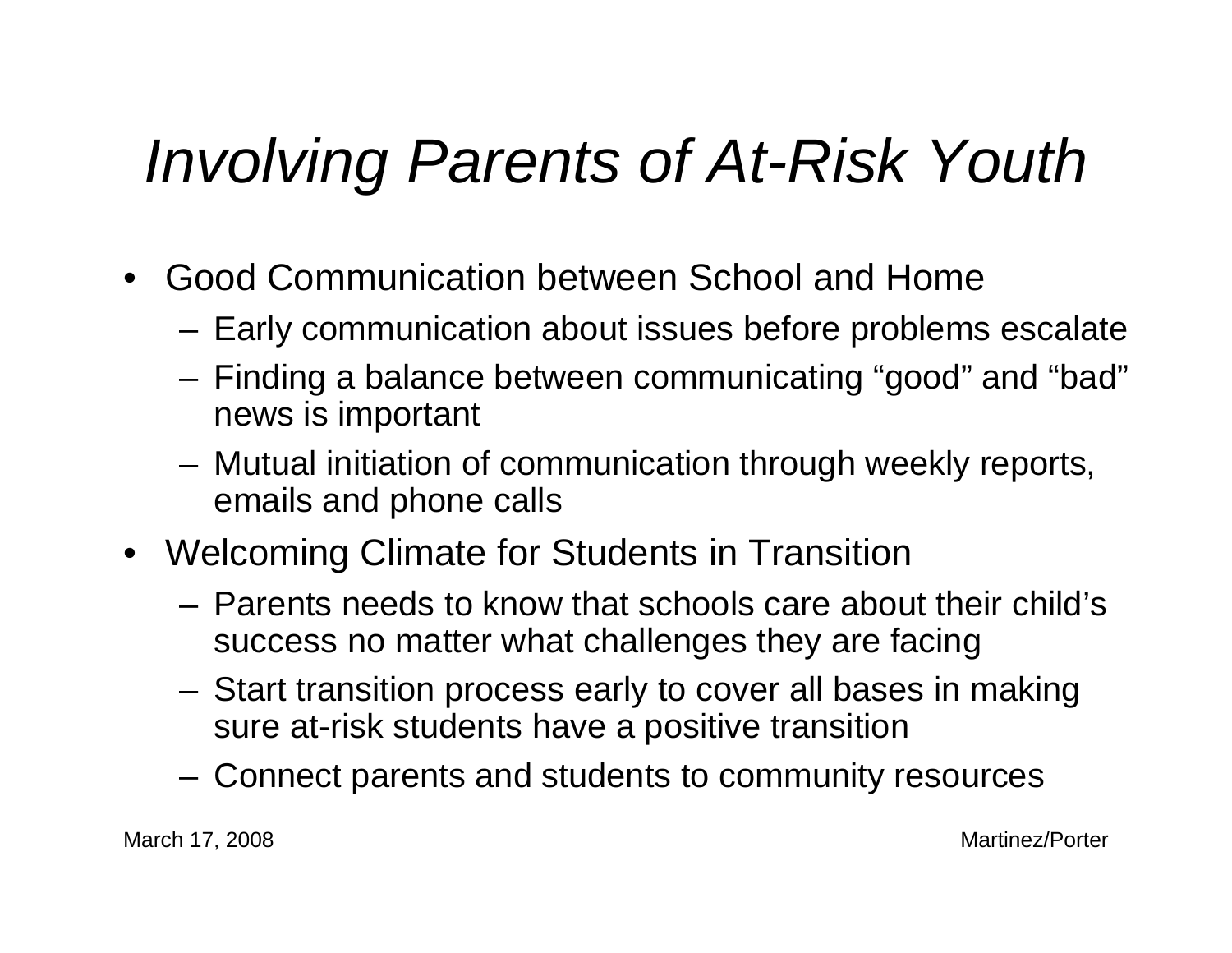### *Involving Parents of At-Risk Youth*

- Good Communication between School and Home
	- Early communication about issues before problems escalate
	- – Finding a balance between communicating "good" and "bad" news is important
	- Mutual initiation of communication through weekly reports, emails and phone calls
- Welcoming Climate for Students in Transition
	- Parents needs to know that schools care about their child's success no matter what challenges they are facing
	- Start transition process early to cover all bases in making sure at-risk students have a positive transition
	- Connect parents and students to community resources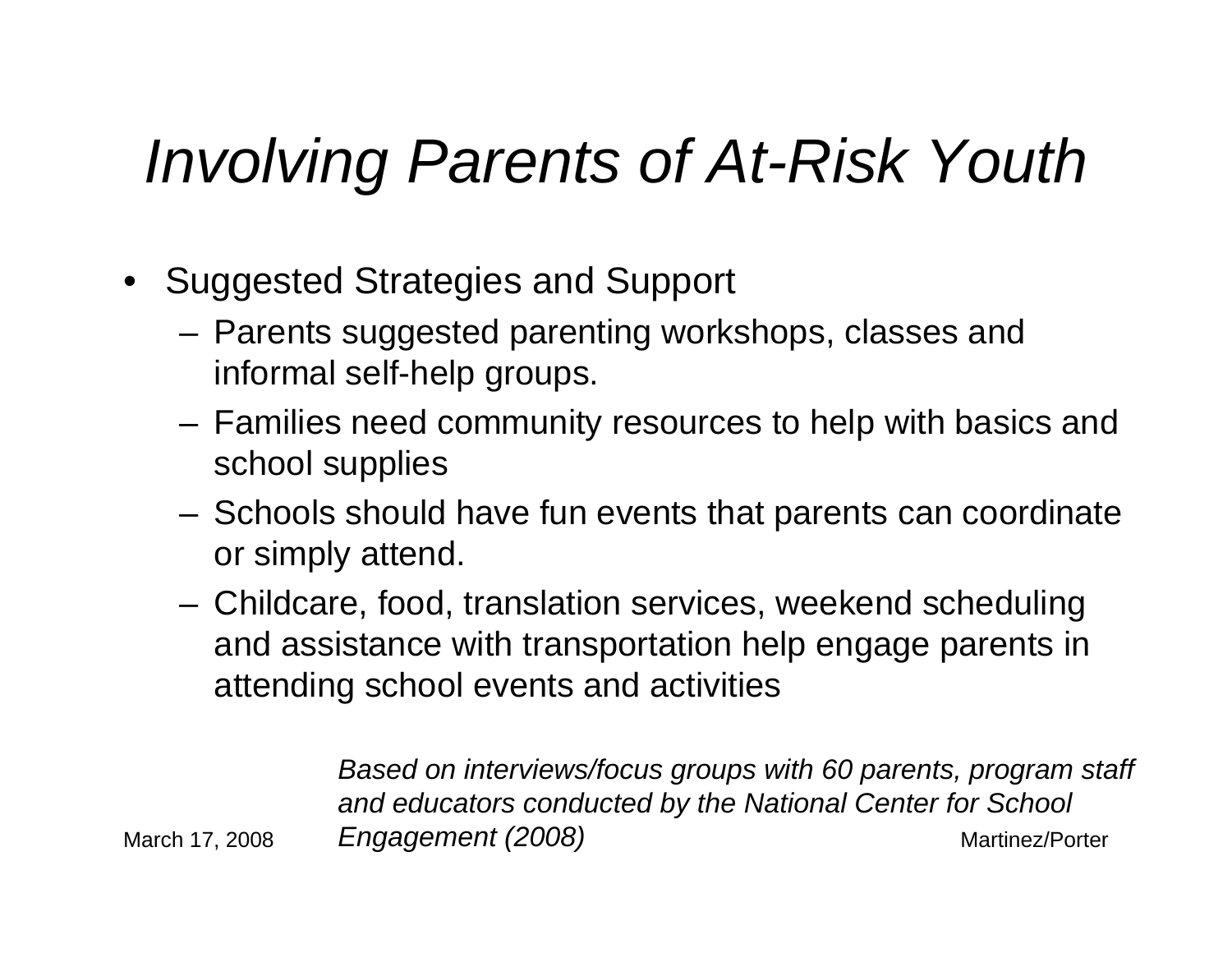#### *Involving Parents of At-Risk Youth*

- Suggested Strategies and Support
	- Parents suggested parenting workshops, classes and informal self-help groups.
	- Families need community resources to help with basics and school supplies
	- Schools should have fun events that parents can coordinate or simply attend.
	- Childcare, food, translation services, weekend scheduling and assistance with transportation help engage parents in attending school events and activities

March 17, 2008 Martinez/Porter *Engagement (2008)Based on interviews/focus groups with 60 parents, program staff and educators conducted by the National Center for School*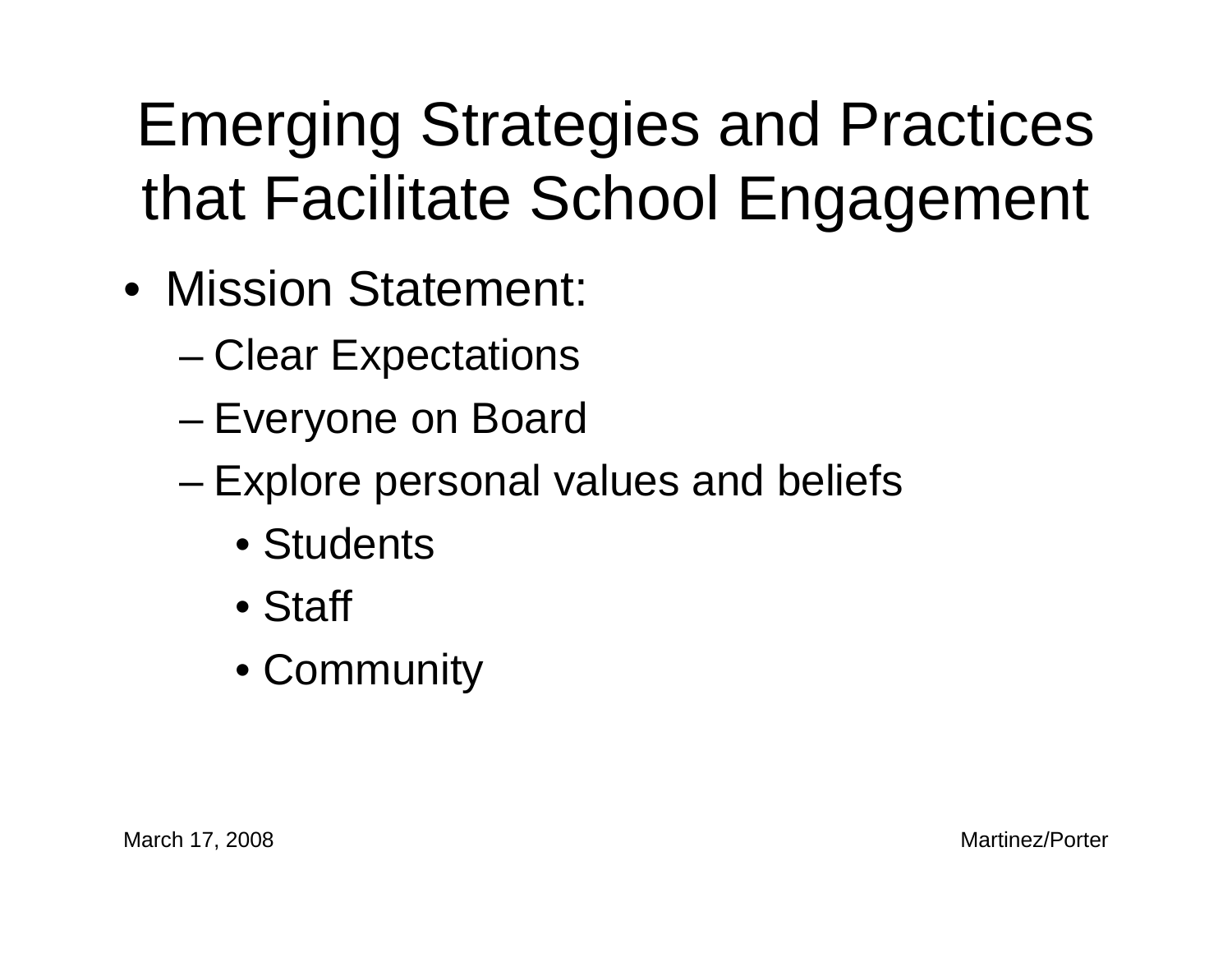## Emerging Strategies and Practices that Facilitate School Engagement

- Mission Statement:
	- Clear Expectations
	- Everyone on Board
	- – Explore personal values and beliefs
		- Students
		- Staff
		- Community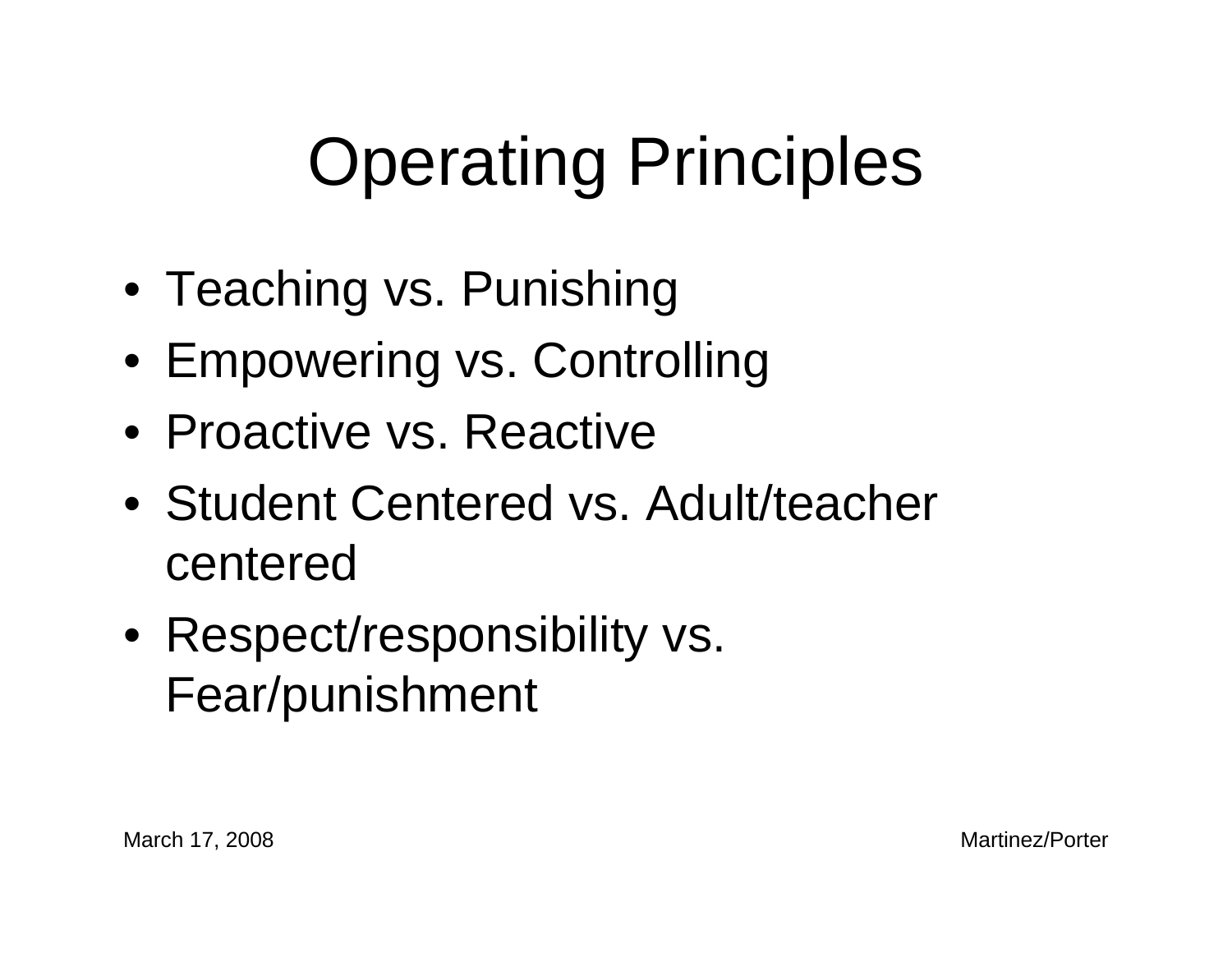## Operating Principles

- Teaching vs. Punishing
- Empowering vs. Controlling
- Proactive vs. Reactive
- Student Centered vs. Adult/teacher centered
- Respect/responsibility vs. Fear/punishment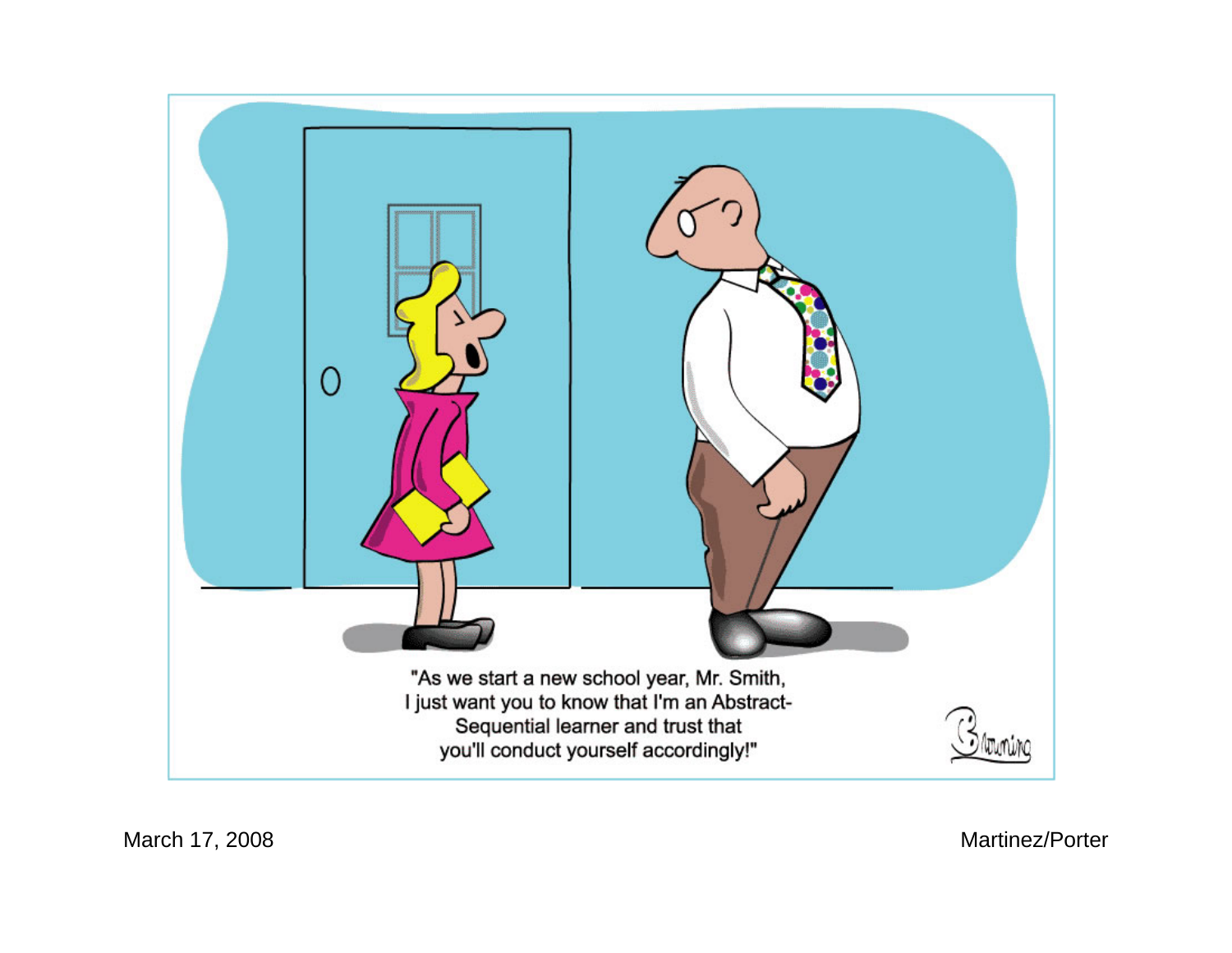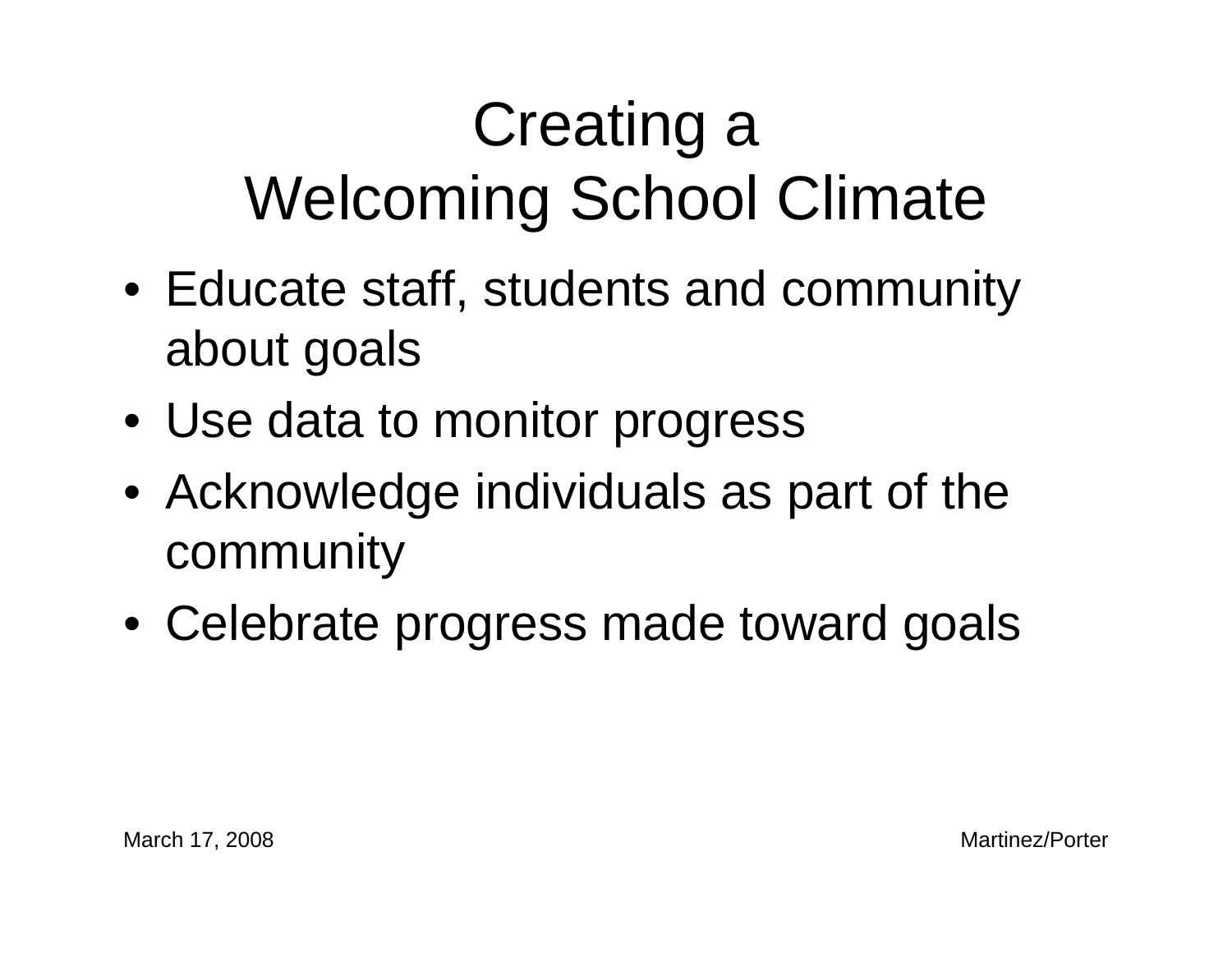## Creating a Welcoming School Climate

- Educate staff, students and community about goals
- Use data to monitor progress
- Acknowledge individuals as part of the community
- Celebrate progress made toward goals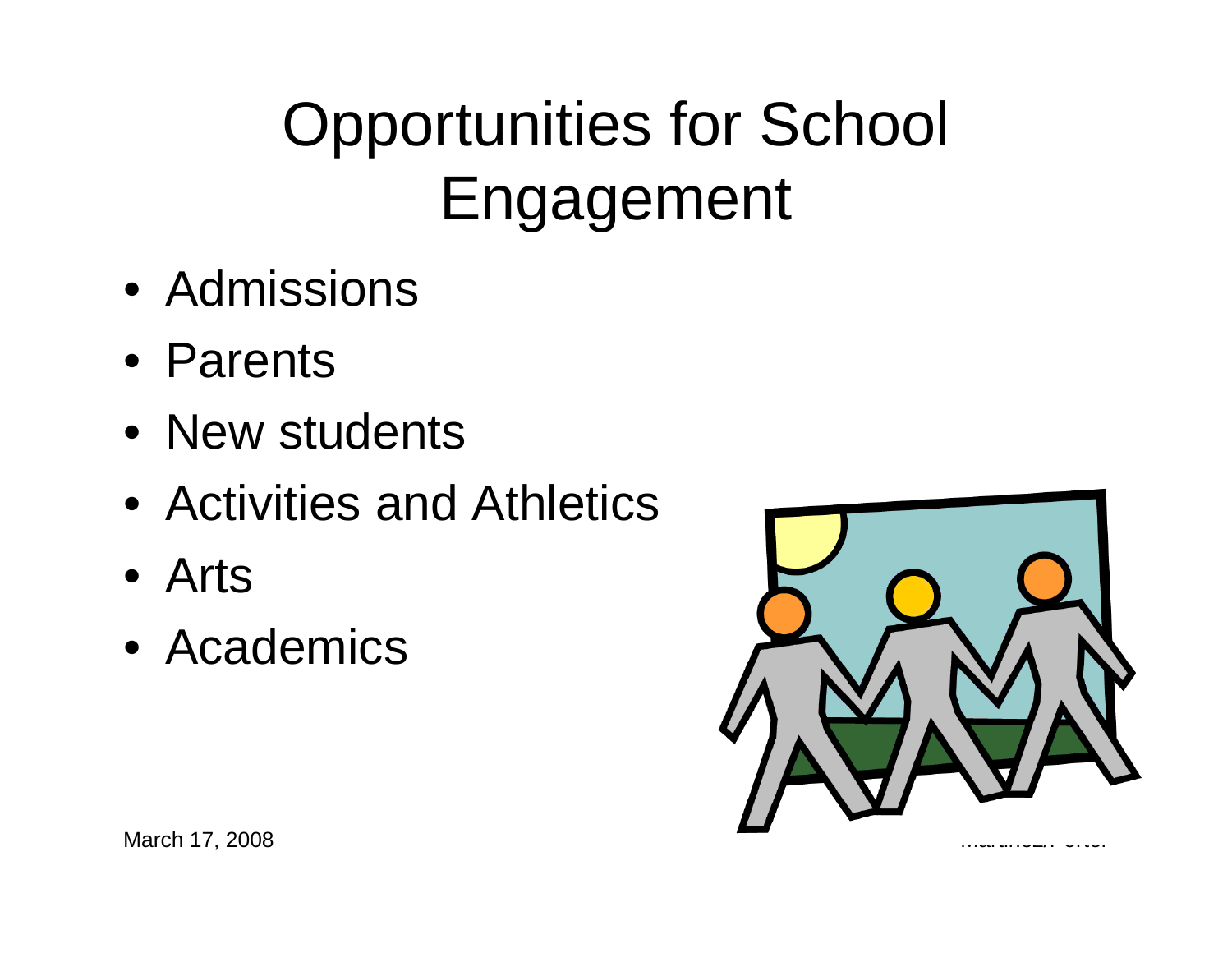## Opportunities for School Engagement

- Admissions
- Parents
- New students
- Activities and Athletics
- Arts
- Academics



March 17, 2008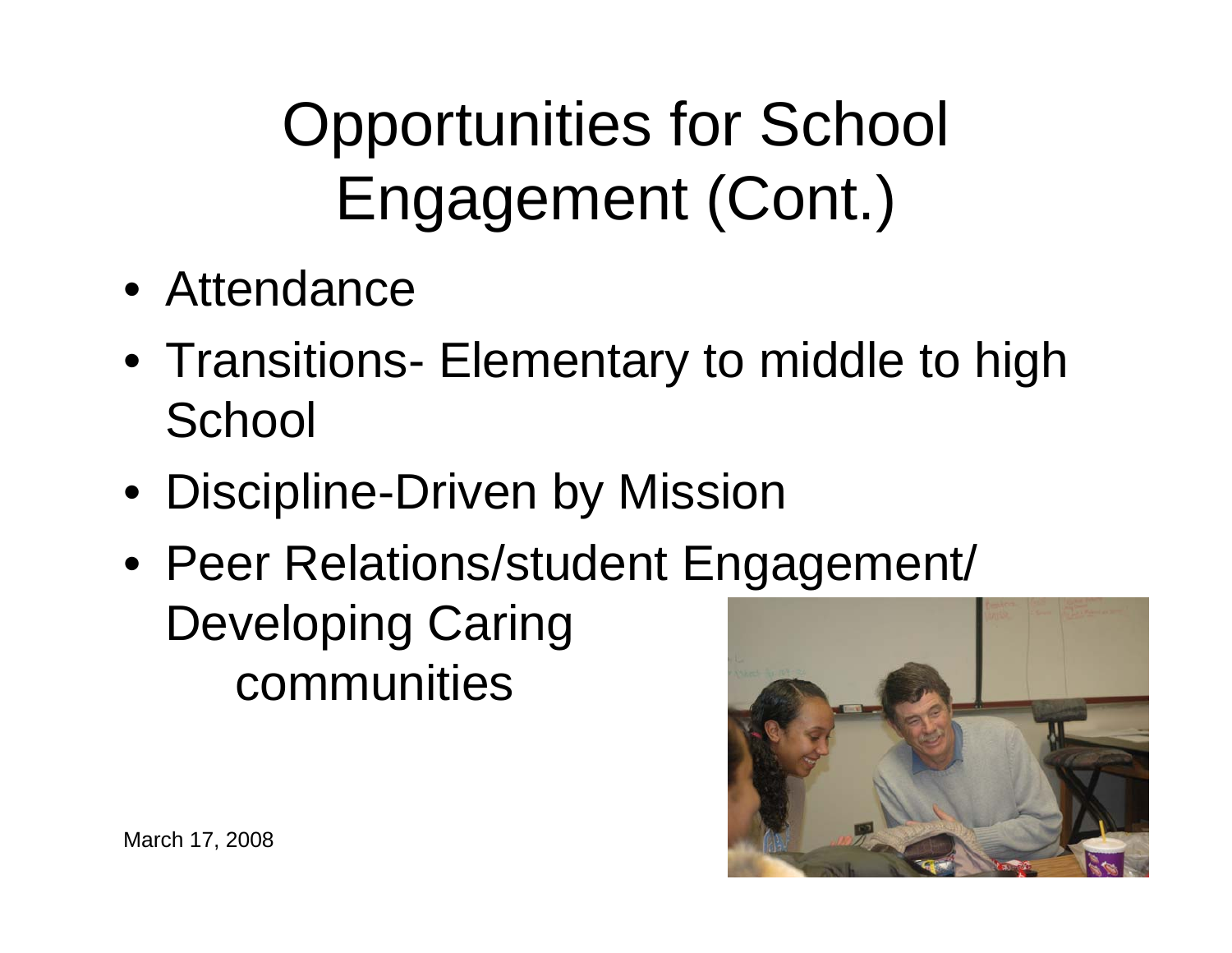Opportunities for School Engagement (Cont.)

- Attendance
- Transitions- Elementary to middle to high **School**
- Discipline-Driven by Mission
- Peer Relations/student Engagement/ Developing Caring communities

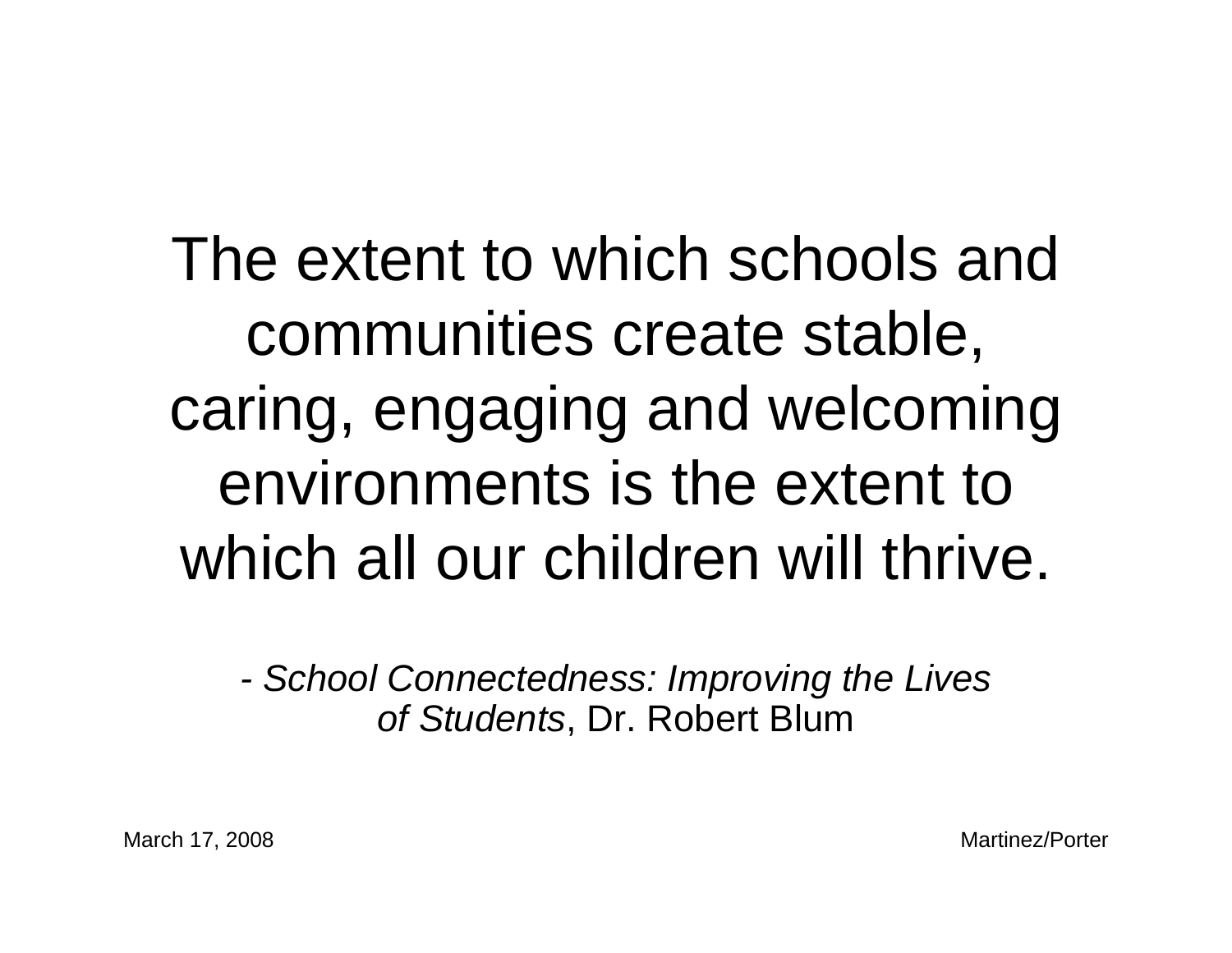The extent to which schools and communities create stable, caring, engaging and welcoming environments is the extent to which all our children will thrive.

*- School Connectedness: Improving the Lives of Students*, Dr. Robert Blum